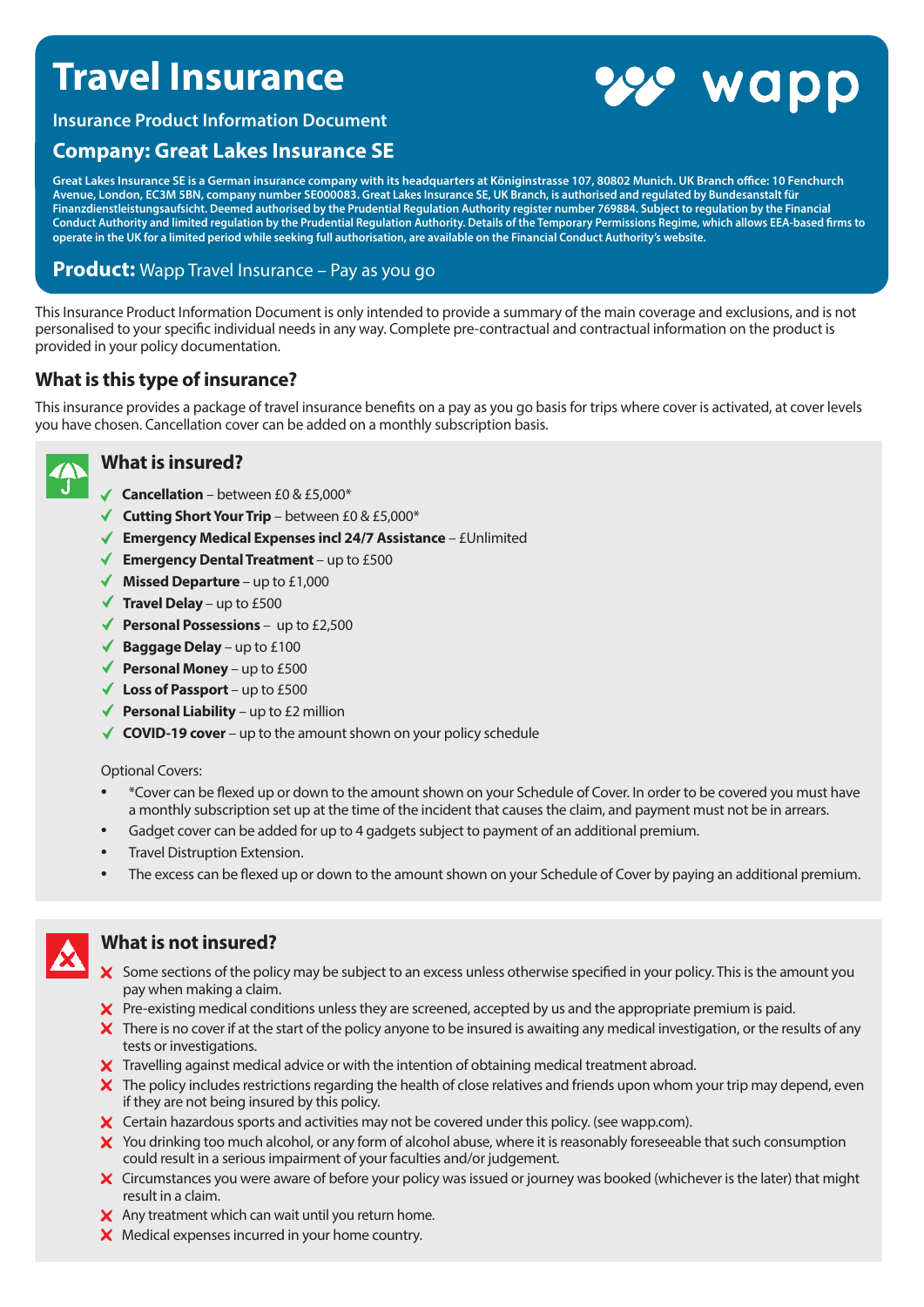# **Travel Insurance**



**Insurance Product Information Document**

## **Company: Great Lakes Insurance SE**

**Great Lakes Insurance SE is a German insurance company with its headquarters at Königinstrasse 107, 80802 Munich. UK Branch office: 10 Fenchurch Avenue, London, EC3M 5BN, company number SE000083. Great Lakes Insurance SE, UK Branch, is authorised and regulated by Bundesanstalt für Finanzdienstleistungsaufsicht. Deemed authorised by the Prudential Regulation Authority register number 769884. Subject to regulation by the Financial Conduct Authority and limited regulation by the Prudential Regulation Authority. Details of the Temporary Permissions Regime, which allows EEA-based firms to operate in the UK for a limited period while seeking full authorisation, are available on the Financial Conduct Authority's website.**

## **Product:** Wapp Travel Insurance – Pay as you go

This Insurance Product Information Document is only intended to provide a summary of the main coverage and exclusions, and is not personalised to your specific individual needs in any way. Complete pre-contractual and contractual information on the product is provided in your policy documentation.

## **What is this type of insurance?**

This insurance provides a package of travel insurance benefits on a pay as you go basis for trips where cover is activated, at cover levels you have chosen. Cancellation cover can be added on a monthly subscription basis.



## **What is insured?**

- **Cancellation** between £0 & £5,000\*
- **Cutting Short Your Trip** between £0 & £5,000\*
- **Emergency Medical Expenses incl 24/7 Assistance** £Unlimited
- ◆ **Emergency Dental Treatment** up to £500
- **Missed Departure**  up to £1,000
- **Travel Delay**  up to £500
- ◆ **Personal Possessions** up to £2,500
- ◆ **Baggage Delay** up to £100
- ◆ **Personal Money** up to £500
- **Loss of Passport**  up to £500
- **Personal Liability** up to £2 million
- ◆ **COVID-19 cover** up to the amount shown on your policy schedule

Optional Covers:

- \*Cover can be flexed up or down to the amount shown on your Schedule of Cover. In order to be covered you must have a monthly subscription set up at the time of the incident that causes the claim, and payment must not be in arrears.
- Gadget cover can be added for up to 4 gadgets subject to payment of an additional premium.
- Travel Distruption Extension.
- The excess can be flexed up or down to the amount shown on your Schedule of Cover by paying an additional premium.



## **What is not insured?**

- X Some sections of the policy may be subject to an excess unless otherwise specified in your policy. This is the amount you pay when making a claim.
- Pre-existing medical conditions unless they are screened, accepted by us and the appropriate premium is paid.
- $\bm{\times}$  There is no cover if at the start of the policy anyone to be insured is awaiting any medical investigation, or the results of any tests or investigations.
- X Travelling against medical advice or with the intention of obtaining medical treatment abroad.
- $\bm{\times}$  The policy includes restrictions regarding the health of close relatives and friends upon whom your trip may depend, even if they are not being insured by this policy.
- X Certain hazardous sports and activities may not be covered under this policy. (see wapp.com).
- X You drinking too much alcohol, or any form of alcohol abuse, where it is reasonably foreseeable that such consumption could result in a serious impairment of your faculties and/or judgement.
- X Circumstances you were aware of before your policy was issued or journey was booked (whichever is the later) that might result in a claim.
- X Any treatment which can wait until you return home.
- X Medical expenses incurred in your home country.